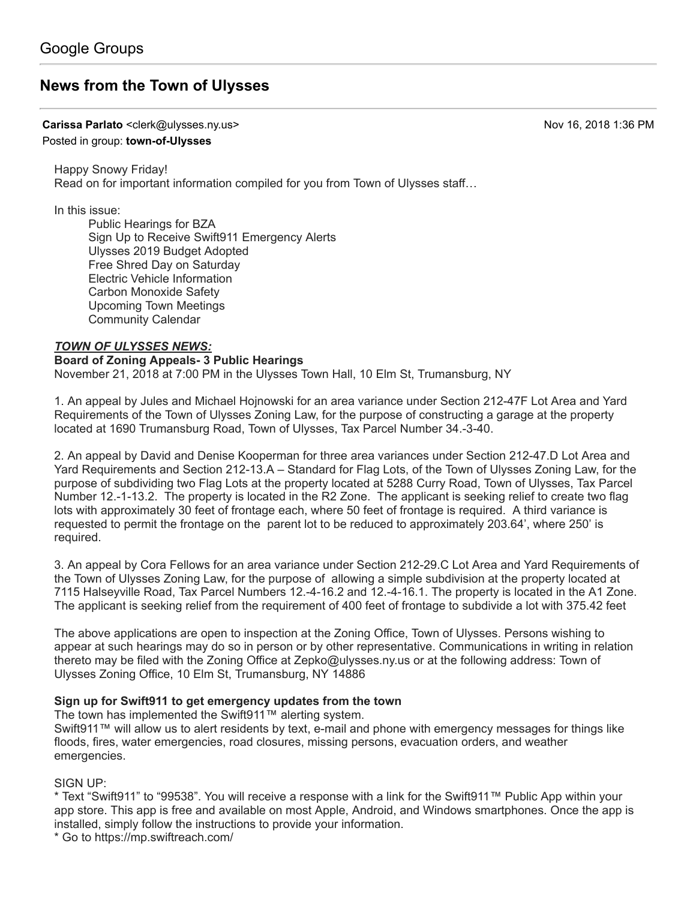# **[News from the Town of Ulysses](https://groups.google.com/d/topic/town-of-ulysses/oth38V_jCmA)**

**Carissa Parlato** <clerk@ulysses.ny.us> Nov 16, 2018 1:36 PM

### Posted in group: **[town-of-Ulysses](https://groups.google.com/d/forum/town-of-ulysses)**

Happy Snowy Friday! Read on for important information compiled for you from Town of Ulysses staff…

In this issue:

Public Hearings for BZA Sign Up to Receive Swift911 Emergency Alerts Ulysses 2019 Budget Adopted Free Shred Day on Saturday Electric Vehicle Information Carbon Monoxide Safety Upcoming Town Meetings Community Calendar

### *TOWN OF ULYSSES NEWS:*

#### **Board of Zoning Appeals- 3 Public Hearings** November 21, 2018 at 7:00 PM in the Ulysses Town Hall, 10 Elm St, Trumansburg, NY

1. An appeal by Jules and Michael Hojnowski for an area variance under Section 212-47F Lot Area and Yard Requirements of the Town of Ulysses Zoning Law, for the purpose of constructing a garage at the property located at 1690 Trumansburg Road, Town of Ulysses, Tax Parcel Number 34.-3-40.

2. An appeal by David and Denise Kooperman for three area variances under Section 212-47.D Lot Area and Yard Requirements and Section 212-13.A – Standard for Flag Lots, of the Town of Ulysses Zoning Law, for the purpose of subdividing two Flag Lots at the property located at 5288 Curry Road, Town of Ulysses, Tax Parcel Number 12.-1-13.2. The property is located in the R2 Zone. The applicant is seeking relief to create two flag lots with approximately 30 feet of frontage each, where 50 feet of frontage is required. A third variance is requested to permit the frontage on the parent lot to be reduced to approximately 203.64', where 250' is required.

3. An appeal by Cora Fellows for an area variance under Section 212-29.C Lot Area and Yard Requirements of the Town of Ulysses Zoning Law, for the purpose of allowing a simple subdivision at the property located at 7115 Halseyville Road, Tax Parcel Numbers 12.-4-16.2 and 12.-4-16.1. The property is located in the A1 Zone. The applicant is seeking relief from the requirement of 400 feet of frontage to subdivide a lot with 375.42 feet

The above applications are open to inspection at the Zoning Office, Town of Ulysses. Persons wishing to appear at such hearings may do so in person or by other representative. Communications in writing in relation thereto may be filed with the Zoning Office at [Zepko@ulysses.ny.us](mailto:Zepko@ulysses.ny.us) or at the following address: Town of Ulysses Zoning Office, 10 Elm St, Trumansburg, NY 14886

## **Sign up for Swift911 to get emergency updates from the town**

The town has implemented the Swift911™ alerting system.

Swift911™ will allow us to alert residents by text, e-mail and phone with emergency messages for things like floods, fires, water emergencies, road closures, missing persons, evacuation orders, and weather emergencies.

SIGN UP:

\* Text "Swift911" to "99538". You will receive a response with a link for the Swift911™ Public App within your app store. This app is free and available on most Apple, Android, and Windows smartphones. Once the app is installed, simply follow the instructions to provide your information.

\* Go to<https://mp.swiftreach.com/>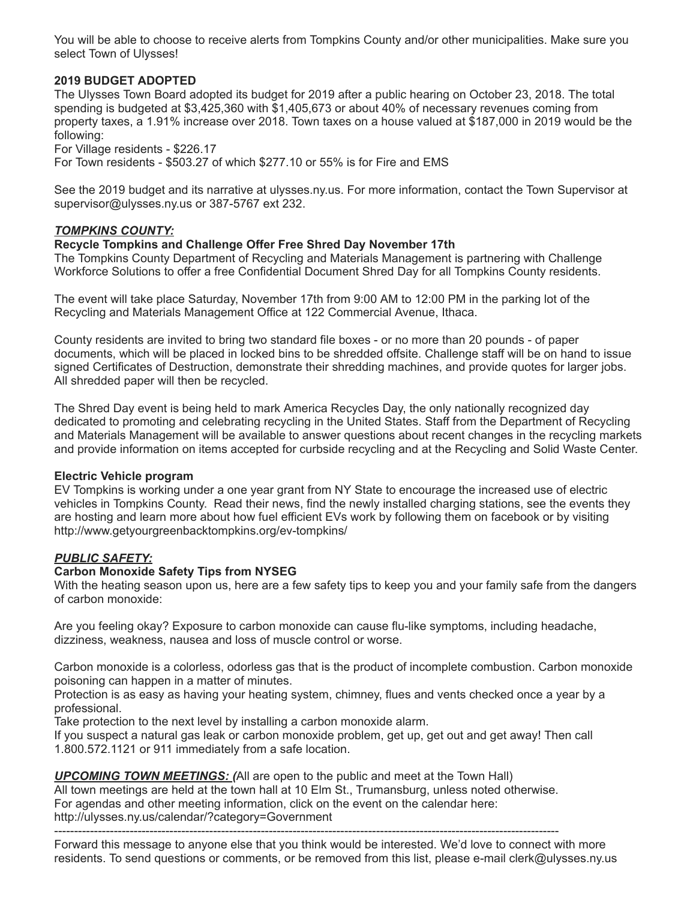You will be able to choose to receive alerts from Tompkins County and/or other municipalities. Make sure you select Town of Ulysses!

#### **2019 BUDGET ADOPTED**

The Ulysses Town Board adopted its budget for 2019 after a public hearing on October 23, 2018. The total spending is budgeted at \$3,425,360 with \$1,405,673 or about 40% of necessary revenues coming from property taxes, a 1.91% increase over 2018. Town taxes on a house valued at \$187,000 in 2019 would be the following:

For Village residents - \$226.17

For Town residents - \$503.27 of which \$277.10 or 55% is for Fire and EMS

See the 2019 budget and its narrative at [ulysses.ny.us.](http://ulysses.ny.us/) For more information, contact the Town Supervisor at [supervisor@ulysses.ny.us](mailto:supervisor@ulysses.ny.us) or 387-5767 ext 232.

#### *TOMPKINS COUNTY:*

#### **Recycle Tompkins and Challenge Offer Free Shred Day November 17th**

The Tompkins County Department of Recycling and Materials Management is partnering with Challenge Workforce Solutions to offer a free Confidential Document Shred Day for all Tompkins County residents.

The event will take place Saturday, November 17th from 9:00 AM to 12:00 PM in the parking lot of the Recycling and Materials Management Office at 122 Commercial Avenue, Ithaca.

County residents are invited to bring two standard file boxes - or no more than 20 pounds - of paper documents, which will be placed in locked bins to be shredded offsite. Challenge staff will be on hand to issue signed Certificates of Destruction, demonstrate their shredding machines, and provide quotes for larger jobs. All shredded paper will then be recycled.

The Shred Day event is being held to mark America Recycles Day, the only nationally recognized day dedicated to promoting and celebrating recycling in the United States. Staff from the Department of Recycling and Materials Management will be available to answer questions about recent changes in the recycling markets and provide information on items accepted for curbside recycling and at the Recycling and Solid Waste Center.

#### **Electric Vehicle program**

EV Tompkins is working under a one year grant from NY State to encourage the increased use of electric vehicles in Tompkins County. Read their news, find the newly installed charging stations, see the events they are hosting and learn more about how fuel efficient EVs work by following them on facebook or by visiting <http://www.getyourgreenbacktompkins.org/ev-tompkins/>

#### *PUBLIC SAFETY:*

#### **Carbon Monoxide Safety Tips from NYSEG**

With the heating season upon us, here are a few safety tips to keep you and your family safe from the dangers of carbon monoxide:

Are you feeling okay? Exposure to carbon monoxide can cause flu-like symptoms, including headache, dizziness, weakness, nausea and loss of muscle control or worse.

Carbon monoxide is a colorless, odorless gas that is the product of incomplete combustion. Carbon monoxide poisoning can happen in a matter of minutes.

Protection is as easy as having your heating system, chimney, flues and vents checked once a year by a professional.

Take protection to the next level by installing a carbon monoxide alarm.

If you suspect a natural gas leak or carbon monoxide problem, get up, get out and get away! Then call 1.800.572.1121 or 911 immediately from a safe location.

#### *UPCOMING TOWN MEETINGS: (*All are open to the public and meet at the Town Hall)

All town meetings are held at the town hall at 10 Elm St., Trumansburg, unless noted otherwise. For agendas and other meeting information, click on the event on the calendar here: <http://ulysses.ny.us/calendar/?category=Government>

-------------------------------------------------------------------------------------------------------------------------------

Forward this message to anyone else that you think would be interested. We'd love to connect with more residents. To send questions or comments, or be removed from this list, please e-mail [clerk@ulysses.ny.us](mailto:clerk@ulysses.ny.us)